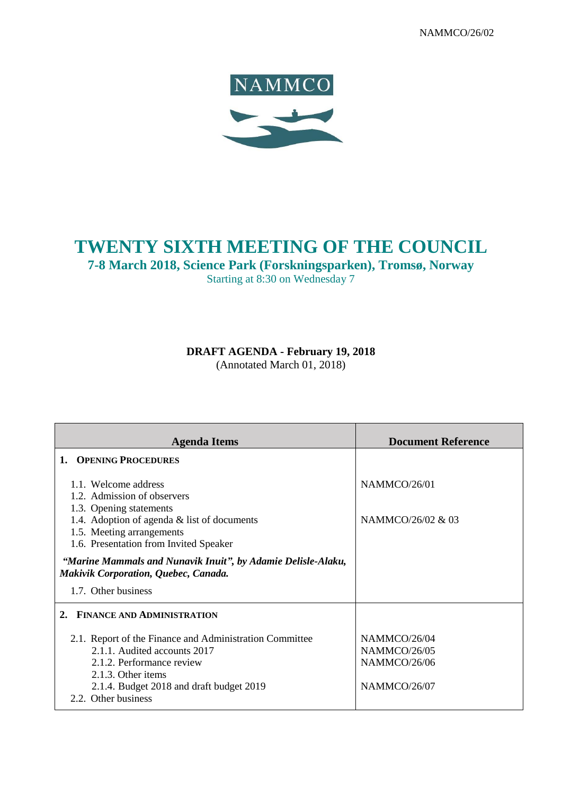NAMMCO/26/02



# **TWENTY SIXTH MEETING OF THE COUNCIL**

**7-8 March 2018, Science Park (Forskningsparken), Tromsø, Norway** Starting at 8:30 on Wednesday 7

**DRAFT AGENDA - February 19, 2018**

(Annotated March 01, 2018)

| <b>Agenda Items</b>                                                                                                                                                                                           | <b>Document Reference</b>                                    |
|---------------------------------------------------------------------------------------------------------------------------------------------------------------------------------------------------------------|--------------------------------------------------------------|
| 1. OPENING PROCEDURES                                                                                                                                                                                         |                                                              |
| 1.1. Welcome address<br>1.2. Admission of observers<br>1.3. Opening statements                                                                                                                                | NAMMCO/26/01                                                 |
| 1.4. Adoption of agenda $&$ list of documents<br>1.5. Meeting arrangements<br>1.6. Presentation from Invited Speaker                                                                                          | NAMMCO/26/02 & 03                                            |
| "Marine Mammals and Nunavik Inuit", by Adamie Delisle-Alaku,<br>Makivik Corporation, Quebec, Canada.                                                                                                          |                                                              |
| 1.7. Other business                                                                                                                                                                                           |                                                              |
| <b>FINANCE AND ADMINISTRATION</b><br>2.                                                                                                                                                                       |                                                              |
| 2.1. Report of the Finance and Administration Committee<br>2.1.1. Audited accounts 2017<br>2.1.2. Performance review<br>2.1.3. Other items<br>2.1.4. Budget 2018 and draft budget 2019<br>2.2. Other business | NAMMCO/26/04<br>NAMMCO/26/05<br>NAMMCO/26/06<br>NAMMCO/26/07 |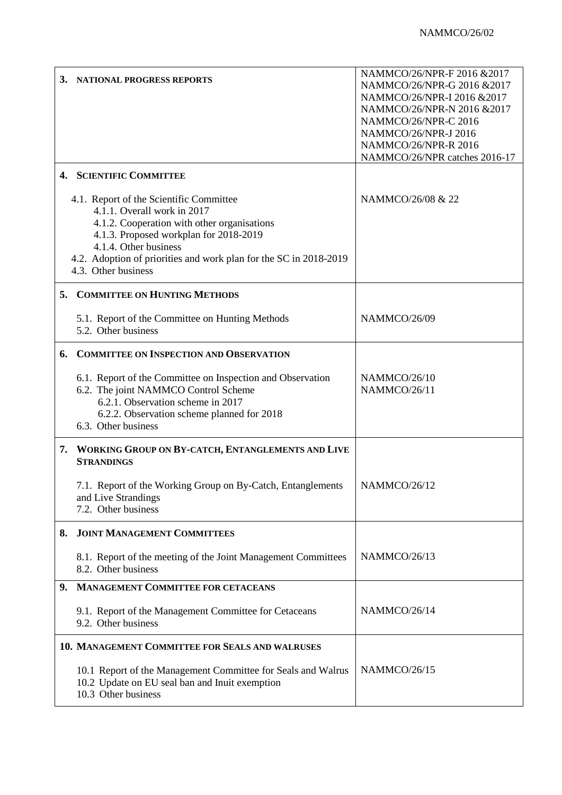| 3. | <b>NATIONAL PROGRESS REPORTS</b>                                                                                                                                                                                                                                                     | NAMMCO/26/NPR-F 2016 & 2017<br>NAMMCO/26/NPR-G 2016 &2017<br>NAMMCO/26/NPR-I 2016 &2017<br>NAMMCO/26/NPR-N 2016 &2017<br>NAMMCO/26/NPR-C 2016<br>NAMMCO/26/NPR-J 2016<br>NAMMCO/26/NPR-R 2016<br>NAMMCO/26/NPR catches 2016-17 |
|----|--------------------------------------------------------------------------------------------------------------------------------------------------------------------------------------------------------------------------------------------------------------------------------------|--------------------------------------------------------------------------------------------------------------------------------------------------------------------------------------------------------------------------------|
|    | 4. SCIENTIFIC COMMITTEE                                                                                                                                                                                                                                                              |                                                                                                                                                                                                                                |
|    | 4.1. Report of the Scientific Committee<br>4.1.1. Overall work in 2017<br>4.1.2. Cooperation with other organisations<br>4.1.3. Proposed workplan for 2018-2019<br>4.1.4. Other business<br>4.2. Adoption of priorities and work plan for the SC in 2018-2019<br>4.3. Other business | NAMMCO/26/08 & 22                                                                                                                                                                                                              |
| 5. | <b>COMMITTEE ON HUNTING METHODS</b>                                                                                                                                                                                                                                                  |                                                                                                                                                                                                                                |
|    | 5.1. Report of the Committee on Hunting Methods<br>5.2. Other business                                                                                                                                                                                                               | NAMMCO/26/09                                                                                                                                                                                                                   |
| 6. | <b>COMMITTEE ON INSPECTION AND OBSERVATION</b>                                                                                                                                                                                                                                       |                                                                                                                                                                                                                                |
|    | 6.1. Report of the Committee on Inspection and Observation<br>6.2. The joint NAMMCO Control Scheme<br>6.2.1. Observation scheme in 2017<br>6.2.2. Observation scheme planned for 2018<br>6.3. Other business                                                                         | NAMMCO/26/10<br>NAMMCO/26/11                                                                                                                                                                                                   |
| 7. | WORKING GROUP ON BY-CATCH, ENTANGLEMENTS AND LIVE<br><b>STRANDINGS</b>                                                                                                                                                                                                               |                                                                                                                                                                                                                                |
|    | 7.1. Report of the Working Group on By-Catch, Entanglements<br>and Live Strandings<br>7.2. Other business                                                                                                                                                                            | NAMMCO/26/12                                                                                                                                                                                                                   |
| 8. | <b>JOINT MANAGEMENT COMMITTEES</b>                                                                                                                                                                                                                                                   |                                                                                                                                                                                                                                |
|    | 8.1. Report of the meeting of the Joint Management Committees<br>8.2. Other business                                                                                                                                                                                                 | NAMMCO/26/13                                                                                                                                                                                                                   |
| 9. | <b>MANAGEMENT COMMITTEE FOR CETACEANS</b>                                                                                                                                                                                                                                            |                                                                                                                                                                                                                                |
|    | 9.1. Report of the Management Committee for Cetaceans<br>9.2. Other business                                                                                                                                                                                                         | NAMMCO/26/14                                                                                                                                                                                                                   |
|    | <b>10. MANAGEMENT COMMITTEE FOR SEALS AND WALRUSES</b>                                                                                                                                                                                                                               |                                                                                                                                                                                                                                |
|    | 10.1 Report of the Management Committee for Seals and Walrus<br>10.2 Update on EU seal ban and Inuit exemption<br>10.3 Other business                                                                                                                                                | NAMMCO/26/15                                                                                                                                                                                                                   |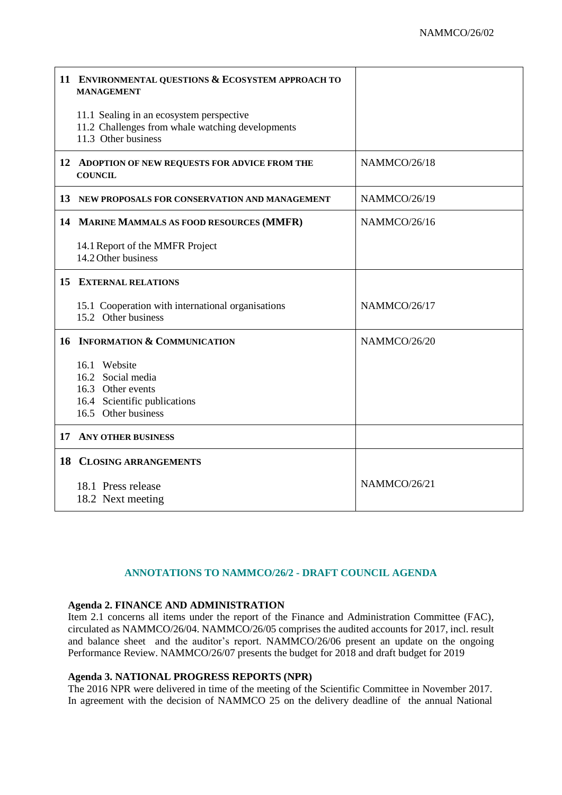|    | 11 ENVIRONMENTAL QUESTIONS & ECOSYSTEM APPROACH TO<br><b>MANAGEMENT</b>                                             |              |
|----|---------------------------------------------------------------------------------------------------------------------|--------------|
|    | 11.1 Sealing in an ecosystem perspective<br>11.2 Challenges from whale watching developments<br>11.3 Other business |              |
|    | 12 ADOPTION OF NEW REQUESTS FOR ADVICE FROM THE<br><b>COUNCIL</b>                                                   | NAMMCO/26/18 |
|    | 13 NEW PROPOSALS FOR CONSERVATION AND MANAGEMENT                                                                    | NAMMCO/26/19 |
|    | 14 MARINE MAMMALS AS FOOD RESOURCES (MMFR)                                                                          | NAMMCO/26/16 |
|    | 14.1 Report of the MMFR Project<br>14.2 Other business                                                              |              |
|    | <b>15 EXTERNAL RELATIONS</b>                                                                                        |              |
|    | 15.1 Cooperation with international organisations<br>15.2 Other business                                            | NAMMCO/26/17 |
|    | 16 INFORMATION & COMMUNICATION                                                                                      | NAMMCO/26/20 |
|    | 16.1 Website<br>16.2 Social media<br>16.3 Other events<br>16.4 Scientific publications<br>16.5 Other business       |              |
| 17 | <b>ANY OTHER BUSINESS</b>                                                                                           |              |
|    | <b>18 CLOSING ARRANGEMENTS</b>                                                                                      |              |
|    | 18.1 Press release<br>18.2 Next meeting                                                                             | NAMMCO/26/21 |

## **ANNOTATIONS TO NAMMCO/26/2 - DRAFT COUNCIL AGENDA**

#### **Agenda 2. FINANCE AND ADMINISTRATION**

Item 2.1 concerns all items under the report of the Finance and Administration Committee (FAC), circulated as NAMMCO/26/04. NAMMCO/26/05 comprises the audited accounts for 2017, incl. result and balance sheet and the auditor's report. NAMMCO/26/06 present an update on the ongoing Performance Review. NAMMCO/26/07 presents the budget for 2018 and draft budget for 2019

## **Agenda 3. NATIONAL PROGRESS REPORTS (NPR)**

The 2016 NPR were delivered in time of the meeting of the Scientific Committee in November 2017. In agreement with the decision of NAMMCO 25 on the delivery deadline of the annual National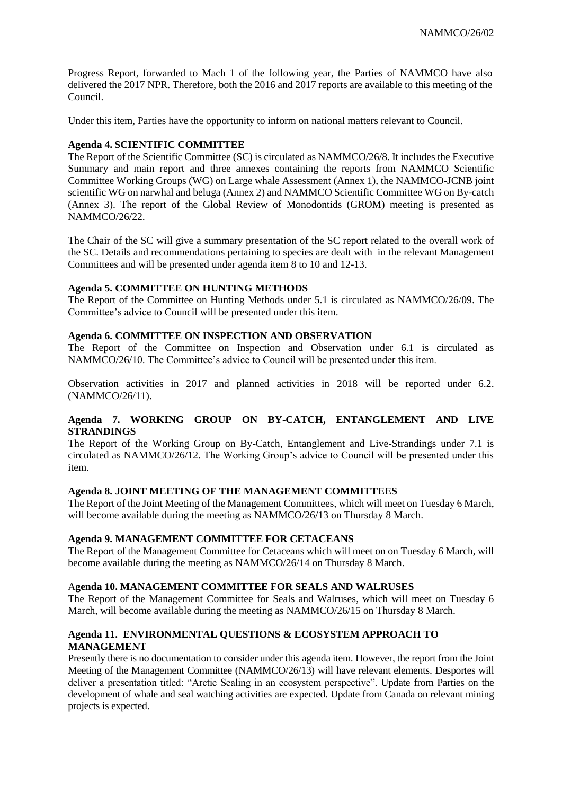Progress Report, forwarded to Mach 1 of the following year, the Parties of NAMMCO have also delivered the 2017 NPR. Therefore, both the 2016 and 2017 reports are available to this meeting of the Council.

Under this item, Parties have the opportunity to inform on national matters relevant to Council.

## **Agenda 4. SCIENTIFIC COMMITTEE**

The Report of the Scientific Committee (SC) is circulated as NAMMCO/26/8. It includes the Executive Summary and main report and three annexes containing the reports from NAMMCO Scientific Committee Working Groups (WG) on Large whale Assessment (Annex 1), the NAMMCO-JCNB joint scientific WG on narwhal and beluga (Annex 2) and NAMMCO Scientific Committee WG on By-catch (Annex 3). The report of the Global Review of Monodontids (GROM) meeting is presented as NAMMCO/26/22.

The Chair of the SC will give a summary presentation of the SC report related to the overall work of the SC. Details and recommendations pertaining to species are dealt with in the relevant Management Committees and will be presented under agenda item 8 to 10 and 12-13.

#### **Agenda 5. COMMITTEE ON HUNTING METHODS**

The Report of the Committee on Hunting Methods under 5.1 is circulated as NAMMCO/26/09. The Committee's advice to Council will be presented under this item.

#### **Agenda 6. COMMITTEE ON INSPECTION AND OBSERVATION**

The Report of the Committee on Inspection and Observation under 6.1 is circulated as NAMMCO/26/10. The Committee's advice to Council will be presented under this item.

Observation activities in 2017 and planned activities in 2018 will be reported under 6.2. (NAMMCO/26/11).

## **Agenda 7. WORKING GROUP ON BY-CATCH, ENTANGLEMENT AND LIVE STRANDINGS**

The Report of the Working Group on By-Catch, Entanglement and Live-Strandings under 7.1 is circulated as NAMMCO/26/12. The Working Group's advice to Council will be presented under this item.

#### **Agenda 8. JOINT MEETING OF THE MANAGEMENT COMMITTEES**

The Report of the Joint Meeting of the Management Committees, which will meet on Tuesday 6 March, will become available during the meeting as NAMMCO/26/13 on Thursday 8 March.

# **Agenda 9. MANAGEMENT COMMITTEE FOR CETACEANS**

The Report of the Management Committee for Cetaceans which will meet on on Tuesday 6 March, will become available during the meeting as NAMMCO/26/14 on Thursday 8 March.

#### A**genda 10. MANAGEMENT COMMITTEE FOR SEALS AND WALRUSES**

The Report of the Management Committee for Seals and Walruses, which will meet on Tuesday 6 March, will become available during the meeting as NAMMCO/26/15 on Thursday 8 March.

## **Agenda 11. ENVIRONMENTAL QUESTIONS & ECOSYSTEM APPROACH TO MANAGEMENT**

Presently there is no documentation to consider under this agenda item. However, the report from the Joint Meeting of the Management Committee (NAMMCO/26/13) will have relevant elements. Desportes will deliver a presentation titled: "Arctic Sealing in an ecosystem perspective". Update from Parties on the development of whale and seal watching activities are expected. Update from Canada on relevant mining projects is expected.